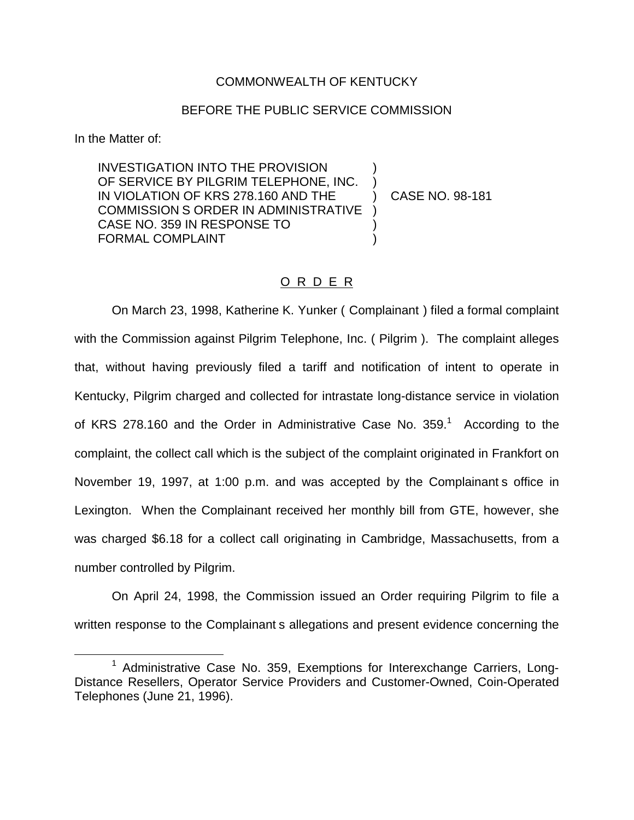### COMMONWEALTH OF KENTUCKY

### BEFORE THE PUBLIC SERVICE COMMISSION

In the Matter of:

INVESTIGATION INTO THE PROVISION ) OF SERVICE BY PILGRIM TELEPHONE, INC. IN VIOLATION OF KRS 278.160 AND THE ) CASE NO. 98-181 COMMISSION S ORDER IN ADMINISTRATIVE ) CASE NO. 359 IN RESPONSE TO ) FORMAL COMPLAINT

## O R D E R

On March 23, 1998, Katherine K. Yunker ( Complainant ) filed a formal complaint with the Commission against Pilgrim Telephone, Inc. (Pilgrim). The complaint alleges that, without having previously filed a tariff and notification of intent to operate in Kentucky, Pilgrim charged and collected for intrastate long-distance service in violation of KRS 278.160 and the Order in Administrative Case No.  $359<sup>1</sup>$  According to the complaint, the collect call which is the subject of the complaint originated in Frankfort on November 19, 1997, at 1:00 p.m. and was accepted by the Complainant s office in Lexington. When the Complainant received her monthly bill from GTE, however, she was charged \$6.18 for a collect call originating in Cambridge, Massachusetts, from a number controlled by Pilgrim.

On April 24, 1998, the Commission issued an Order requiring Pilgrim to file a written response to the Complainant s allegations and present evidence concerning the

<sup>&</sup>lt;sup>1</sup> Administrative Case No. 359, Exemptions for Interexchange Carriers, Long-Distance Resellers, Operator Service Providers and Customer-Owned, Coin-Operated Telephones (June 21, 1996).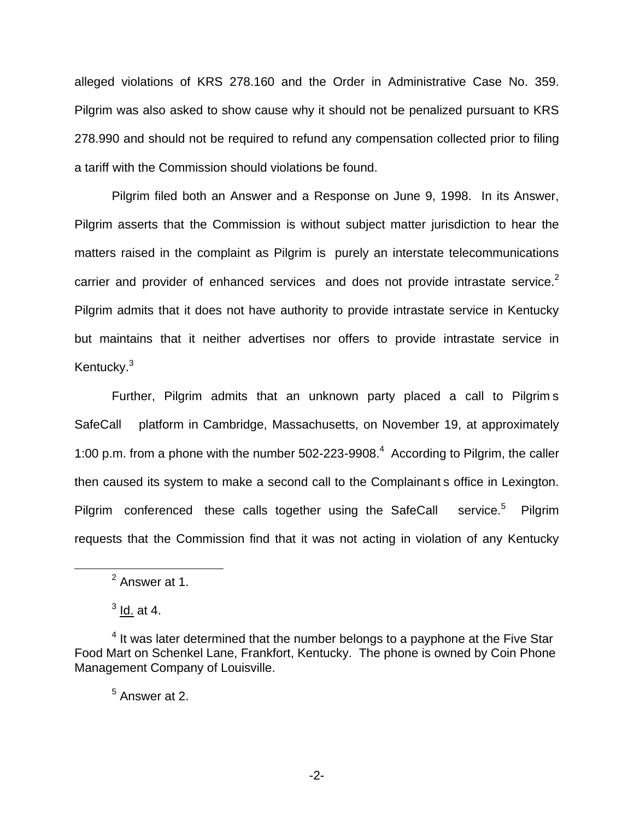alleged violations of KRS 278.160 and the Order in Administrative Case No. 359. Pilgrim was also asked to show cause why it should not be penalized pursuant to KRS 278.990 and should not be required to refund any compensation collected prior to filing a tariff with the Commission should violations be found.

Pilgrim filed both an Answer and a Response on June 9, 1998. In its Answer, Pilgrim asserts that the Commission is without subject matter jurisdiction to hear the matters raised in the complaint as Pilgrim is purely an interstate telecommunications carrier and provider of enhanced services and does not provide intrastate service.<sup>2</sup> Pilgrim admits that it does not have authority to provide intrastate service in Kentucky but maintains that it neither advertises nor offers to provide intrastate service in Kentucky.<sup>3</sup>

Further, Pilgrim admits that an unknown party placed a call to Pilgrim s SafeCall platform in Cambridge, Massachusetts, on November 19, at approximately 1:00 p.m. from a phone with the number  $502-223-9908<sup>4</sup>$  According to Pilgrim, the caller then caused its system to make a second call to the Complainant s office in Lexington. Pilgrim conferenced these calls together using the SafeCall service.<sup>5</sup> Pilgrim requests that the Commission find that it was not acting in violation of any Kentucky

 $<sup>2</sup>$  Answer at 1.</sup>

 $3$  ld. at 4.

 $<sup>4</sup>$  It was later determined that the number belongs to a payphone at the Five Star</sup> Food Mart on Schenkel Lane, Frankfort, Kentucky. The phone is owned by Coin Phone Management Company of Louisville.

<sup>5</sup> Answer at 2.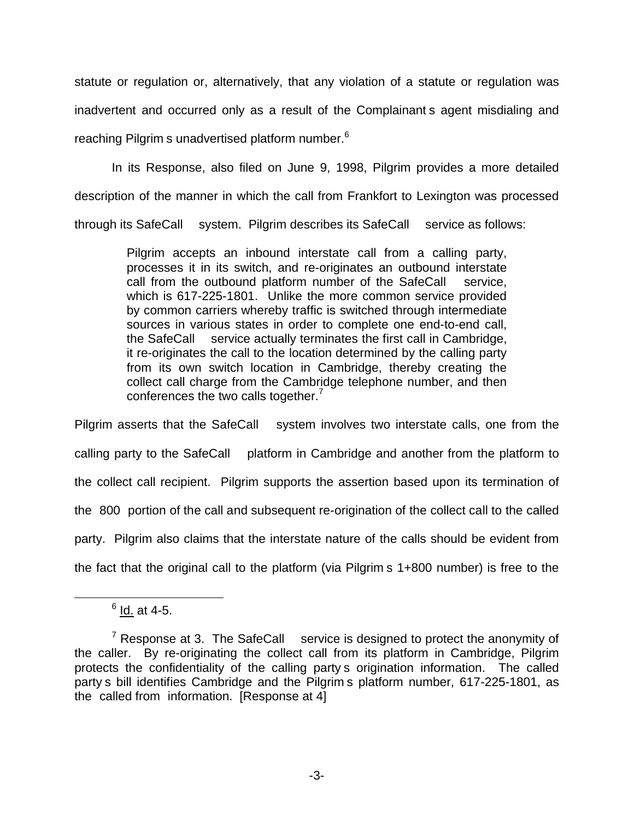statute or regulation or, alternatively, that any violation of a statute or regulation was inadvertent and occurred only as a result of the Complainant s agent misdialing and reaching Pilgrim s unadvertised platform number.<sup>6</sup>

In its Response, also filed on June 9, 1998, Pilgrim provides a more detailed description of the manner in which the call from Frankfort to Lexington was processed through its SafeCall system. Pilgrim describes its SafeCall service as follows:

> Pilgrim accepts an inbound interstate call from a calling party, processes it in its switch, and re-originates an outbound interstate call from the outbound platform number of the SafeCall service, which is 617-225-1801. Unlike the more common service provided by common carriers whereby traffic is switched through intermediate sources in various states in order to complete one end-to-end call, the SafeCall service actually terminates the first call in Cambridge, it re-originates the call to the location determined by the calling party from its own switch location in Cambridge, thereby creating the collect call charge from the Cambridge telephone number, and then conferences the two calls together.<sup>7</sup>

Pilgrim asserts that the SafeCall system involves two interstate calls, one from the calling party to the SafeCall platform in Cambridge and another from the platform to the collect call recipient. Pilgrim supports the assertion based upon its termination of the 800 portion of the call and subsequent re-origination of the collect call to the called party. Pilgrim also claims that the interstate nature of the calls should be evident from the fact that the original call to the platform (via Pilgrim s 1+800 number) is free to the

 $6$  Id. at 4-5.

 $7$  Response at 3. The SafeCall service is designed to protect the anonymity of the caller. By re-originating the collect call from its platform in Cambridge, Pilgrim protects the confidentiality of the calling party s origination information. The called party s bill identifies Cambridge and the Pilgrim s platform number, 617-225-1801, as the called from information. [Response at 4]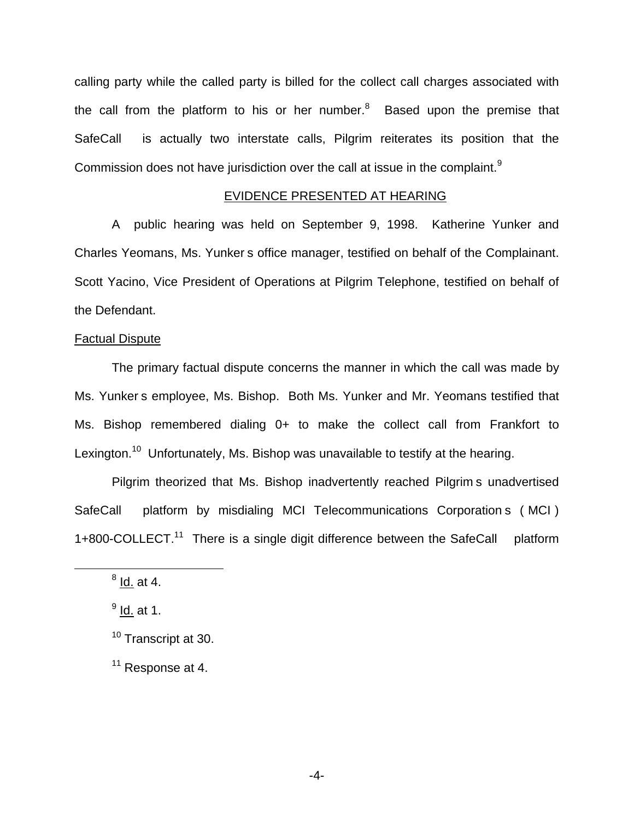calling party while the called party is billed for the collect call charges associated with the call from the platform to his or her number. $8$  Based upon the premise that SafeCall is actually two interstate calls, Pilgrim reiterates its position that the Commission does not have jurisdiction over the call at issue in the complaint.<sup>9</sup>

## EVIDENCE PRESENTED AT HEARING

A public hearing was held on September 9, 1998. Katherine Yunker and Charles Yeomans, Ms. Yunker s office manager, testified on behalf of the Complainant. Scott Yacino, Vice President of Operations at Pilgrim Telephone, testified on behalf of the Defendant.

#### Factual Dispute

The primary factual dispute concerns the manner in which the call was made by Ms. Yunker s employee, Ms. Bishop. Both Ms. Yunker and Mr. Yeomans testified that Ms. Bishop remembered dialing 0+ to make the collect call from Frankfort to Lexington.<sup>10</sup> Unfortunately, Ms. Bishop was unavailable to testify at the hearing.

Pilgrim theorized that Ms. Bishop inadvertently reached Pilgrim s unadvertised SafeCall platform by misdialing MCI Telecommunications Corporation s ( MCI ) 1+800-COLLECT.<sup>11</sup> There is a single digit difference between the SafeCall platform

 $<sup>8</sup>$  Id. at 4.</sup>

 $<sup>9</sup>$  Id. at 1.</sup>

<sup>&</sup>lt;sup>10</sup> Transcript at 30.

 $11$  Response at 4.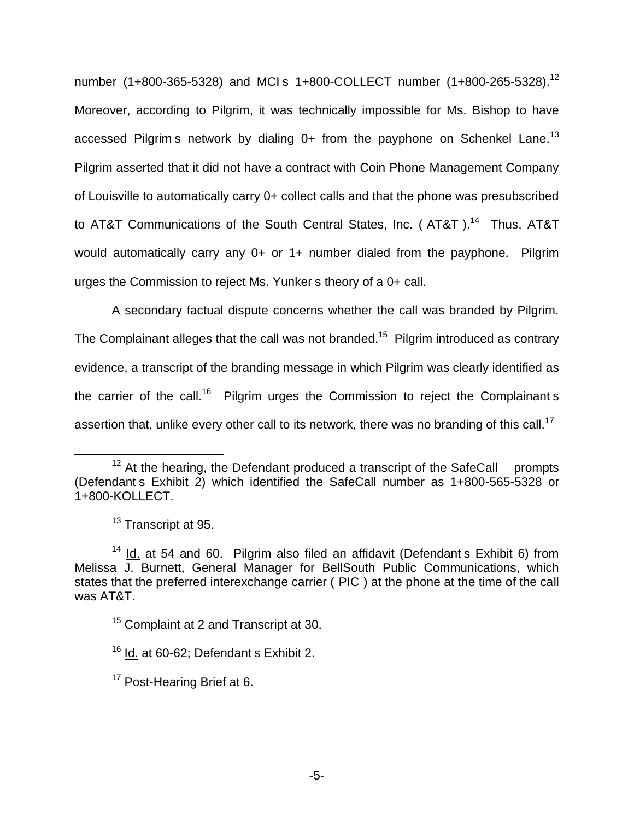number (1+800-365-5328) and MCI s 1+800-COLLECT number (1+800-265-5328).<sup>12</sup> Moreover, according to Pilgrim, it was technically impossible for Ms. Bishop to have accessed Pilgrim s network by dialing 0+ from the payphone on Schenkel Lane.<sup>13</sup> Pilgrim asserted that it did not have a contract with Coin Phone Management Company of Louisville to automatically carry 0+ collect calls and that the phone was presubscribed to AT&T Communications of the South Central States, Inc. (AT&T).<sup>14</sup> Thus, AT&T would automatically carry any 0+ or 1+ number dialed from the payphone. Pilgrim urges the Commission to reject Ms. Yunker s theory of a 0+ call.

A secondary factual dispute concerns whether the call was branded by Pilgrim. The Complainant alleges that the call was not branded.<sup>15</sup> Pilgrim introduced as contrary evidence, a transcript of the branding message in which Pilgrim was clearly identified as the carrier of the call.<sup>16</sup> Pilgrim urges the Commission to reject the Complainant s assertion that, unlike every other call to its network, there was no branding of this call.<sup>17</sup>

 $12$  At the hearing, the Defendant produced a transcript of the SafeCall prompts (Defendant s Exhibit 2) which identified the SafeCall number as 1+800-565-5328 or 1+800-KOLLECT.

 $13$  Transcript at 95.

 $14$  Id. at 54 and 60. Pilgrim also filed an affidavit (Defendant s Exhibit 6) from Melissa J. Burnett, General Manager for BellSouth Public Communications, which states that the preferred interexchange carrier ( PIC ) at the phone at the time of the call was AT&T.

<sup>&</sup>lt;sup>15</sup> Complaint at 2 and Transcript at 30.

 $16$  Id. at 60-62; Defendant s Exhibit 2.

<sup>&</sup>lt;sup>17</sup> Post-Hearing Brief at 6.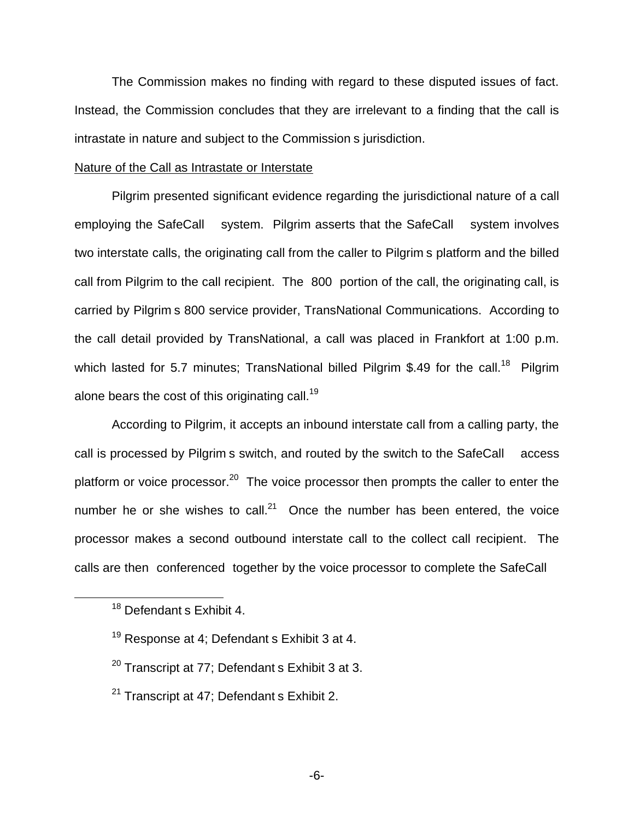The Commission makes no finding with regard to these disputed issues of fact. Instead, the Commission concludes that they are irrelevant to a finding that the call is intrastate in nature and subject to the Commission s jurisdiction.

#### Nature of the Call as Intrastate or Interstate

Pilgrim presented significant evidence regarding the jurisdictional nature of a call employing the SafeCall system. Pilgrim asserts that the SafeCall system involves two interstate calls, the originating call from the caller to Pilgrim s platform and the billed call from Pilgrim to the call recipient. The 800 portion of the call, the originating call, is carried by Pilgrim s 800 service provider, TransNational Communications. According to the call detail provided by TransNational, a call was placed in Frankfort at 1:00 p.m. which lasted for 5.7 minutes; TransNational billed Pilgrim \$.49 for the call.<sup>18</sup> Pilgrim alone bears the cost of this originating call.<sup>19</sup>

According to Pilgrim, it accepts an inbound interstate call from a calling party, the call is processed by Pilgrim s switch, and routed by the switch to the SafeCall access platform or voice processor.<sup>20</sup> The voice processor then prompts the caller to enter the number he or she wishes to call.<sup>21</sup> Once the number has been entered, the voice processor makes a second outbound interstate call to the collect call recipient. The calls are then conferenced together by the voice processor to complete the SafeCall

- $20$  Transcript at 77: Defendant s Exhibit 3 at 3.
- <sup>21</sup> Transcript at 47: Defendant s Exhibit 2.

<sup>&</sup>lt;sup>18</sup> Defendant s Exhibit 4.

 $19$  Response at 4: Defendant s Exhibit 3 at 4.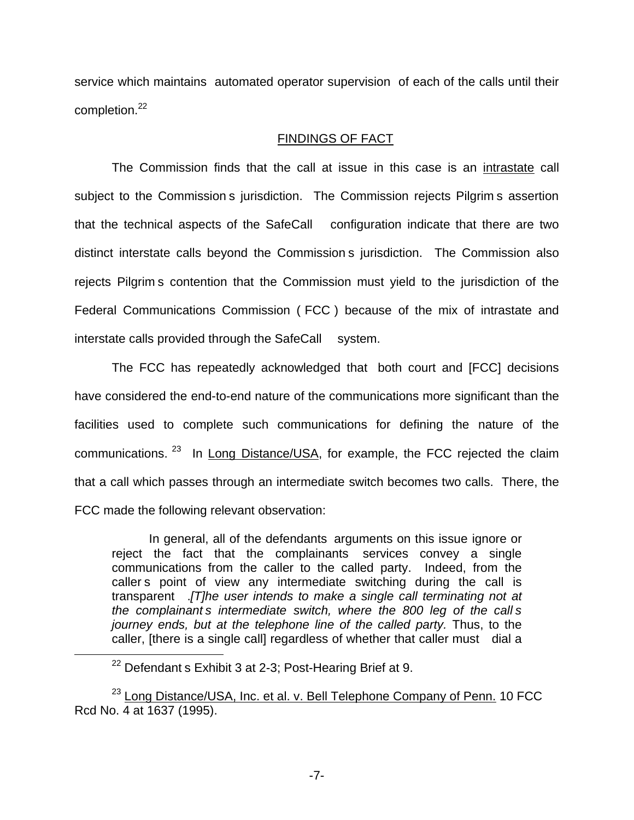service which maintains automated operator supervision of each of the calls until their completion.<sup>22</sup>

# FINDINGS OF FACT

The Commission finds that the call at issue in this case is an intrastate call subject to the Commission s jurisdiction. The Commission rejects Pilgrim s assertion that the technical aspects of the SafeCall configuration indicate that there are two distinct interstate calls beyond the Commission s jurisdiction. The Commission also rejects Pilgrim s contention that the Commission must yield to the jurisdiction of the Federal Communications Commission ( FCC ) because of the mix of intrastate and interstate calls provided through the SafeCall system.

The FCC has repeatedly acknowledged that both court and [FCC] decisions have considered the end-to-end nature of the communications more significant than the facilities used to complete such communications for defining the nature of the communications. <sup>23</sup> In Long Distance/USA, for example, the FCC rejected the claim that a call which passes through an intermediate switch becomes two calls. There, the FCC made the following relevant observation:

In general, all of the defendants arguments on this issue ignore or reject the fact that the complainants services convey a single communications from the caller to the called party. Indeed, from the caller s point of view any intermediate switching during the call is transparent .*[T]he user intends to make a single call terminating not at the complainant s intermediate switch, where the 800 leg of the call s journey ends, but at the telephone line of the called party.* Thus, to the caller, [there is a single call] regardless of whether that caller must dial a

 $22$  Defendant s Exhibit 3 at 2-3; Post-Hearing Brief at 9.

<sup>&</sup>lt;sup>23</sup> Long Distance/USA, Inc. et al. v. Bell Telephone Company of Penn. 10 FCC Rcd No. 4 at 1637 (1995).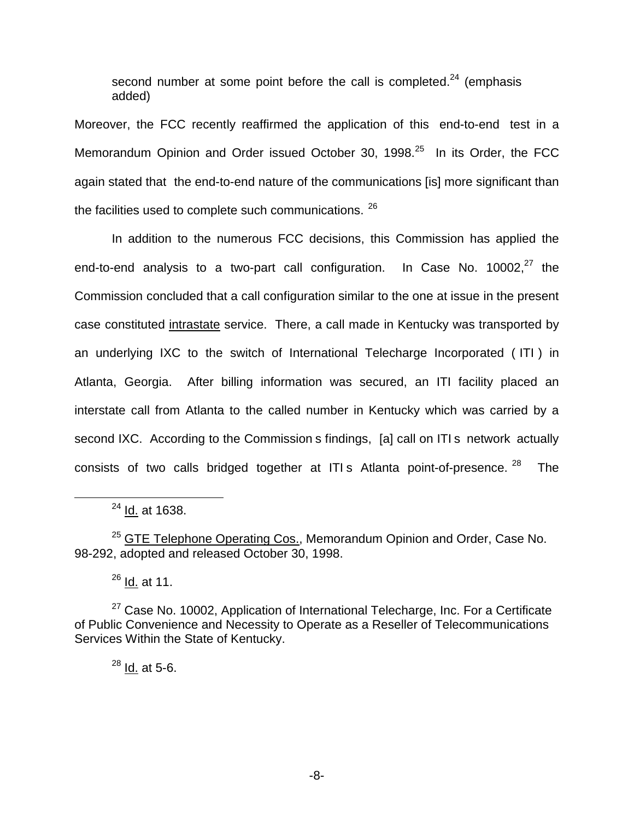second number at some point before the call is completed. $24$  (emphasis added)

Moreover, the FCC recently reaffirmed the application of this end-to-end test in a Memorandum Opinion and Order issued October 30, 1998.<sup>25</sup> In its Order, the FCC again stated that the end-to-end nature of the communications [is] more significant than the facilities used to complete such communications. <sup>26</sup>

In addition to the numerous FCC decisions, this Commission has applied the end-to-end analysis to a two-part call configuration. In Case No.  $10002<sup>27</sup>$  the Commission concluded that a call configuration similar to the one at issue in the present case constituted intrastate service. There, a call made in Kentucky was transported by an underlying IXC to the switch of International Telecharge Incorporated ( ITI ) in Atlanta, Georgia. After billing information was secured, an ITI facility placed an interstate call from Atlanta to the called number in Kentucky which was carried by a second IXC. According to the Commission s findings, [a] call on ITI s network actually consists of two calls bridged together at ITI s Atlanta point-of-presence.  $28$  The

<sup>24</sup> Id. at 1638.

<sup>25</sup> GTE Telephone Operating Cos., Memorandum Opinion and Order, Case No. 98-292, adopted and released October 30, 1998.

 $^{26}$  Id. at 11.

<sup>27</sup> Case No. 10002, Application of International Telecharge, Inc. For a Certificate of Public Convenience and Necessity to Operate as a Reseller of Telecommunications Services Within the State of Kentucky.

 $28$  Id. at 5-6.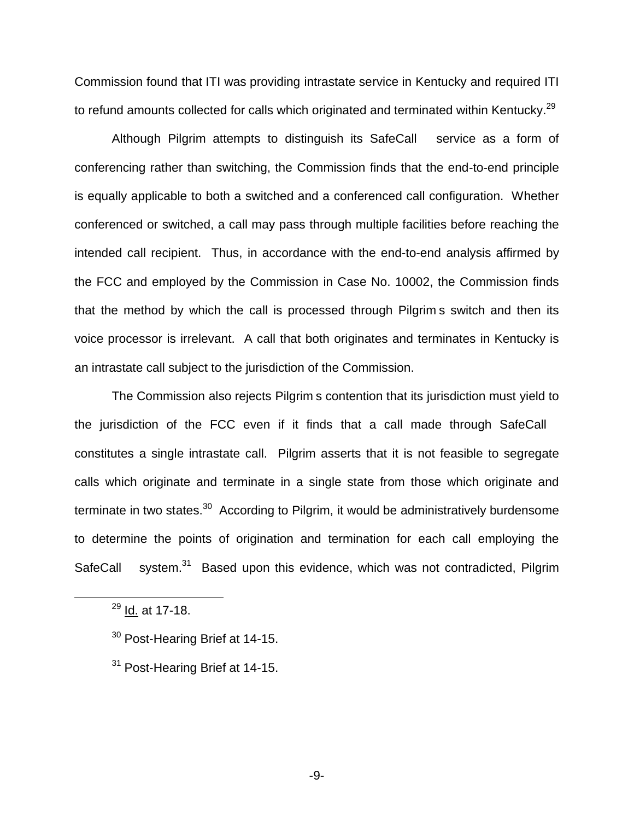Commission found that ITI was providing intrastate service in Kentucky and required ITI to refund amounts collected for calls which originated and terminated within Kentucky.<sup>29</sup>

Although Pilgrim attempts to distinguish its SafeCall service as a form of conferencing rather than switching, the Commission finds that the end-to-end principle is equally applicable to both a switched and a conferenced call configuration. Whether conferenced or switched, a call may pass through multiple facilities before reaching the intended call recipient. Thus, in accordance with the end-to-end analysis affirmed by the FCC and employed by the Commission in Case No. 10002, the Commission finds that the method by which the call is processed through Pilgrim s switch and then its voice processor is irrelevant. A call that both originates and terminates in Kentucky is an intrastate call subject to the jurisdiction of the Commission.

The Commission also rejects Pilgrim s contention that its jurisdiction must yield to the jurisdiction of the FCC even if it finds that a call made through SafeCall constitutes a single intrastate call. Pilgrim asserts that it is not feasible to segregate calls which originate and terminate in a single state from those which originate and terminate in two states. $30$  According to Pilgrim, it would be administratively burdensome to determine the points of origination and termination for each call employing the SafeCall system.<sup>31</sup> Based upon this evidence, which was not contradicted, Pilgrim

<sup>&</sup>lt;sup>29</sup> Id. at 17-18.

 $30$  Post-Hearing Brief at 14-15.

<sup>&</sup>lt;sup>31</sup> Post-Hearing Brief at 14-15.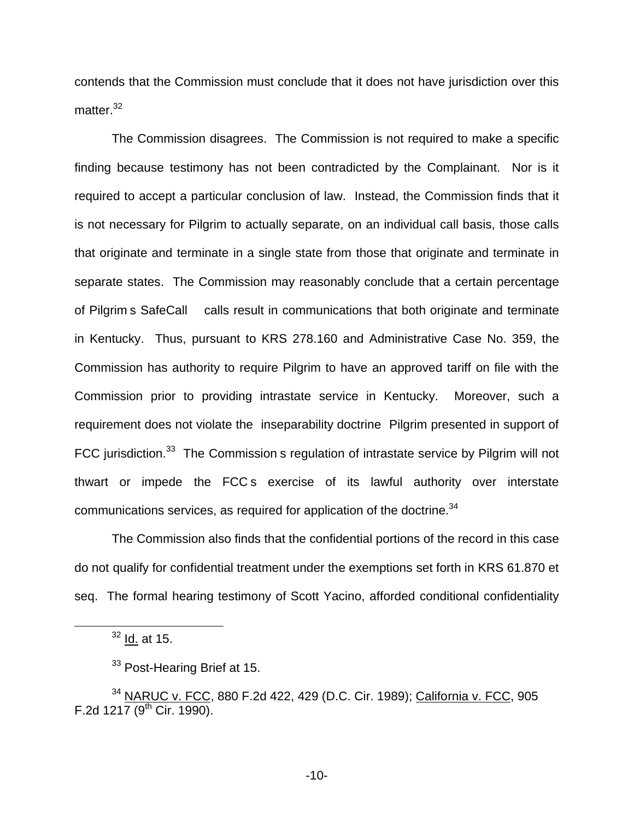contends that the Commission must conclude that it does not have jurisdiction over this matter.<sup>32</sup>

The Commission disagrees. The Commission is not required to make a specific finding because testimony has not been contradicted by the Complainant. Nor is it required to accept a particular conclusion of law. Instead, the Commission finds that it is not necessary for Pilgrim to actually separate, on an individual call basis, those calls that originate and terminate in a single state from those that originate and terminate in separate states. The Commission may reasonably conclude that a certain percentage of Pilgrim s SafeCall calls result in communications that both originate and terminate in Kentucky. Thus, pursuant to KRS 278.160 and Administrative Case No. 359, the Commission has authority to require Pilgrim to have an approved tariff on file with the Commission prior to providing intrastate service in Kentucky. Moreover, such a requirement does not violate the inseparability doctrine Pilgrim presented in support of FCC jurisdiction.<sup>33</sup> The Commission s regulation of intrastate service by Pilgrim will not thwart or impede the FCC s exercise of its lawful authority over interstate communications services, as required for application of the doctrine.<sup>34</sup>

The Commission also finds that the confidential portions of the record in this case do not qualify for confidential treatment under the exemptions set forth in KRS 61.870 et seq. The formal hearing testimony of Scott Yacino, afforded conditional confidentiality

 $32$  Id. at 15.

<sup>&</sup>lt;sup>33</sup> Post-Hearing Brief at 15.

<sup>34</sup> NARUC v. FCC, 880 F.2d 422, 429 (D.C. Cir. 1989); California v. FCC, 905 F.2d  $1217 (9^{th}$  Cir. 1990).